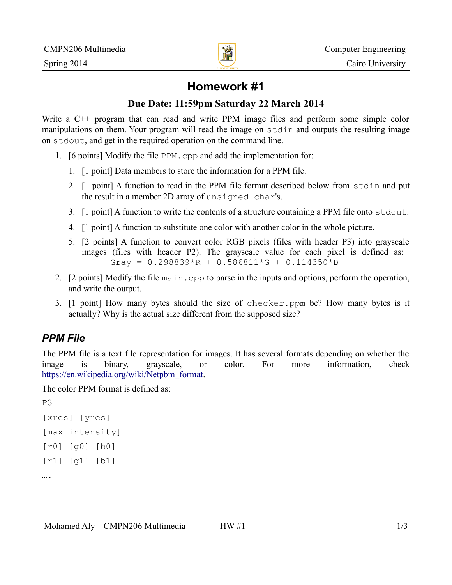

# **Homework #1**

#### **Due Date: 11:59pm Saturday 22 March 2014**

Write a C<sup>++</sup> program that can read and write PPM image files and perform some simple color manipulations on them. Your program will read the image on stdin and outputs the resulting image on stdout, and get in the required operation on the command line.

- 1. [6 points] Modify the file PPM.cpp and add the implementation for:
	- 1. [1 point] Data members to store the information for a PPM file.
	- 2. [1 point] A function to read in the PPM file format described below from stdin and put the result in a member 2D array of unsigned char's.
	- 3. [1 point] A function to write the contents of a structure containing a PPM file onto stdout.
	- 4. [1 point] A function to substitute one color with another color in the whole picture.
	- 5. [2 points] A function to convert color RGB pixels (files with header P3) into grayscale images (files with header P2). The grayscale value for each pixel is defined as: Gray =  $0.298839$  \*R + 0.586811 \*G + 0.114350 \*B
- 2. [2 points] Modify the file main.cpp to parse in the inputs and options, perform the operation, and write the output.
- 3. [1 point] How many bytes should the size of checker.ppm be? How many bytes is it actually? Why is the actual size different from the supposed size?

## *PPM File*

The PPM file is a text file representation for images. It has several formats depending on whether the image is binary, grayscale, or color. For more information, check [https://en.wikipedia.org/wiki/Netpbm\\_format.](https://en.wikipedia.org/wiki/Netpbm_format)

The color PPM format is defined as:

```
P3
[xres] [yres]
[max intensity]
[r0] [g0] [b0]
[r1] [g1] [b1] 
….
```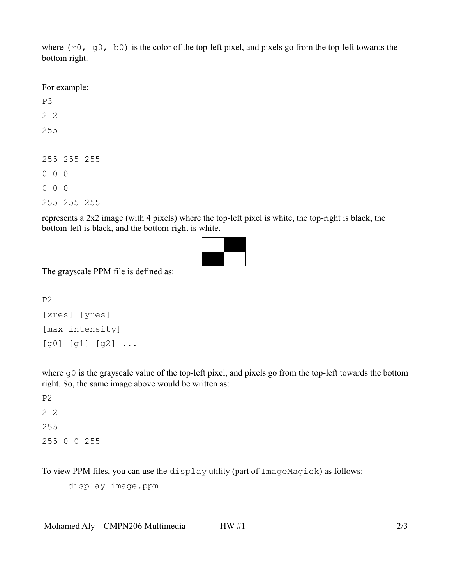where  $(10, 90, 60)$  is the color of the top-left pixel, and pixels go from the top-left towards the bottom right.

For example:

represents a 2x2 image (with 4 pixels) where the top-left pixel is white, the top-right is black, the bottom-left is black, and the bottom-right is white.



The grayscale PPM file is defined as:

```
P2
[xres] [yres]
[max intensity]
[g0] [g1] [g2] ...
```
where  $g0$  is the grayscale value of the top-left pixel, and pixels go from the top-left towards the bottom right. So, the same image above would be written as:

P2 2 2 255 255 0 0 255

To view PPM files, you can use the display utility (part of ImageMagick) as follows:

display image.ppm